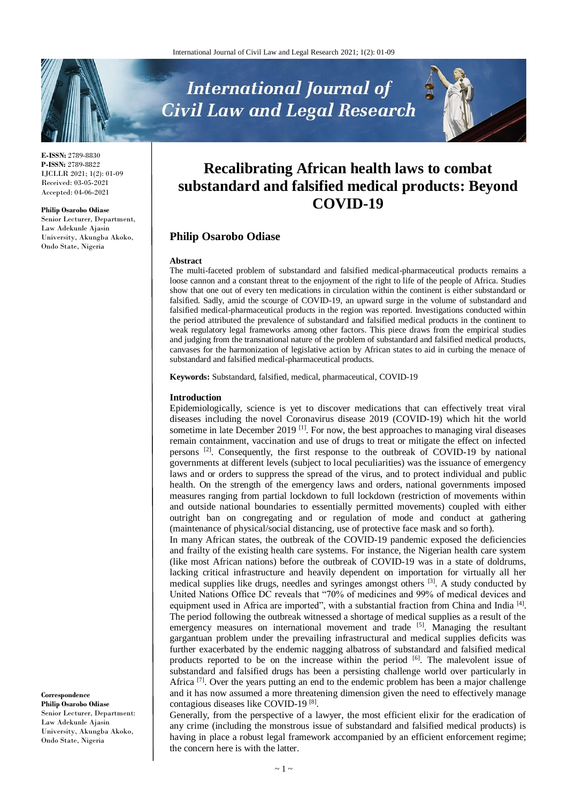

**E-ISSN:** 2789-8830 **P-ISSN:** 2789-8822 IJCLLR 2021; 1(2): 01-09 Received: 03-05-2021 Accepted: 04-06-2021

#### **Philip Osarobo Odiase**

Senior Lecturer, Department, Law Adekunle Ajasin University, Akungba Akoko, Ondo State, Nigeria

**International Journal of Civil Law and Legal Research** 



# **Recalibrating African health laws to combat substandard and falsified medical products: Beyond COVID-19**

## **Philip Osarobo Odiase**

#### **Abstract**

The multi-faceted problem of substandard and falsified medical-pharmaceutical products remains a loose cannon and a constant threat to the enjoyment of the right to life of the people of Africa. Studies show that one out of every ten medications in circulation within the continent is either substandard or falsified. Sadly, amid the scourge of COVID-19, an upward surge in the volume of substandard and falsified medical-pharmaceutical products in the region was reported. Investigations conducted within the period attributed the prevalence of substandard and falsified medical products in the continent to weak regulatory legal frameworks among other factors. This piece draws from the empirical studies and judging from the transnational nature of the problem of substandard and falsified medical products, canvases for the harmonization of legislative action by African states to aid in curbing the menace of substandard and falsified medical-pharmaceutical products.

**Keywords:** Substandard, falsified, medical, pharmaceutical, COVID-19

#### **Introduction**

Epidemiologically, science is yet to discover medications that can effectively treat viral diseases including the novel Coronavirus disease 2019 (COVID-19) which hit the world sometime in late December 2019<sup>[1]</sup>. For now, the best approaches to managing viral diseases remain containment, vaccination and use of drugs to treat or mitigate the effect on infected persons <sup>[2]</sup>. Consequently, the first response to the outbreak of COVID-19 by national governments at different levels (subject to local peculiarities) was the issuance of emergency laws and or orders to suppress the spread of the virus, and to protect individual and public health. On the strength of the emergency laws and orders, national governments imposed measures ranging from partial lockdown to full lockdown (restriction of movements within and outside national boundaries to essentially permitted movements) coupled with either outright ban on congregating and or regulation of mode and conduct at gathering (maintenance of physical/social distancing, use of protective face mask and so forth).

In many African states, the outbreak of the COVID-19 pandemic exposed the deficiencies and frailty of the existing health care systems. For instance, the Nigerian health care system (like most African nations) before the outbreak of COVID-19 was in a state of doldrums, lacking critical infrastructure and heavily dependent on importation for virtually all her medical supplies like drugs, needles and syringes amongst others <sup>[3]</sup>. A study conducted by United Nations Office DC reveals that "70% of medicines and 99% of medical devices and equipment used in Africa are imported", with a substantial fraction from China and India<sup>[4]</sup>. The period following the outbreak witnessed a shortage of medical supplies as a result of the emergency measures on international movement and trade <sup>[5]</sup>. Managing the resultant gargantuan problem under the prevailing infrastructural and medical supplies deficits was further exacerbated by the endemic nagging albatross of substandard and falsified medical products reported to be on the increase within the period <sup>[6]</sup>. The malevolent issue of substandard and falsified drugs has been a persisting challenge world over particularly in Africa <sup>[7]</sup>. Over the years putting an end to the endemic problem has been a major challenge and it has now assumed a more threatening dimension given the need to effectively manage contagious diseases like COVID-19<sup>[8]</sup>.

Generally, from the perspective of a lawyer, the most efficient elixir for the eradication of any crime (including the monstrous issue of substandard and falsified medical products) is having in place a robust legal framework accompanied by an efficient enforcement regime; the concern here is with the latter.

**Correspondence Philip Osarobo Odiase** Senior Lecturer, Department: Law Adekunle Ajasin University, Akungba Akoko, Ondo State, Nigeria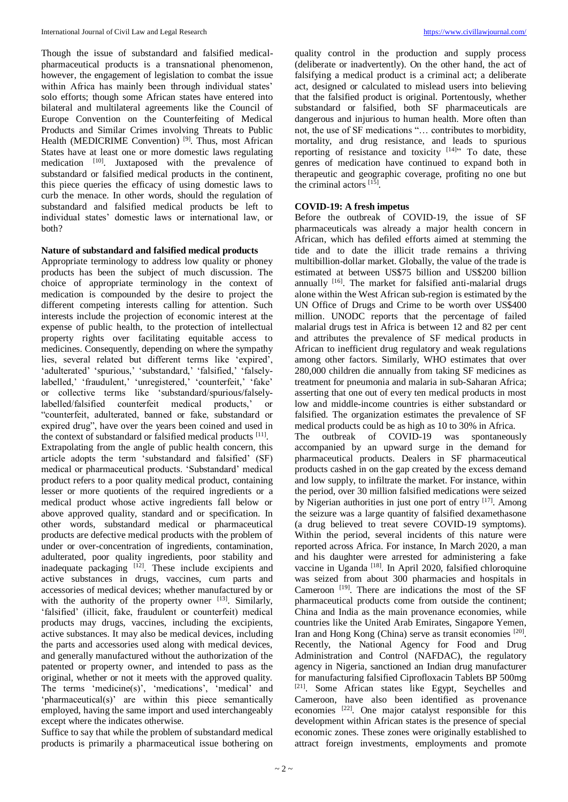Though the issue of substandard and falsified medicalpharmaceutical products is a transnational phenomenon, however, the engagement of legislation to combat the issue within Africa has mainly been through individual states' solo efforts; though some African states have entered into bilateral and multilateral agreements like the Council of Europe Convention on the Counterfeiting of Medical Products and Similar Crimes involving Threats to Public Health (MEDICRIME Convention)<sup>[9]</sup>. Thus, most African States have at least one or more domestic laws regulating medication <sup>[10]</sup>. Juxtaposed with the prevalence of substandard or falsified medical products in the continent, this piece queries the efficacy of using domestic laws to curb the menace. In other words, should the regulation of substandard and falsified medical products be left to individual states' domestic laws or international law, or both?

## **Nature of substandard and falsified medical products**

Appropriate terminology to address low quality or phoney products has been the subject of much discussion. The choice of appropriate terminology in the context of medication is compounded by the desire to project the different competing interests calling for attention. Such interests include the projection of economic interest at the expense of public health, to the protection of intellectual property rights over facilitating equitable access to medicines. Consequently, depending on where the sympathy lies, several related but different terms like 'expired', 'adulterated' 'spurious,' 'substandard,' 'falsified,' 'falselylabelled,' 'fraudulent,' 'unregistered,' 'counterfeit,' 'fake' or collective terms like 'substandard/spurious/falselylabelled/falsified counterfeit medical products,' or "counterfeit, adulterated, banned or fake, substandard or expired drug", have over the years been coined and used in the context of substandard or falsified medical products [11]. Extrapolating from the angle of public health concern, this article adopts the term 'substandard and falsified' (SF) medical or pharmaceutical products. 'Substandard' medical product refers to a poor quality medical product, containing lesser or more quotients of the required ingredients or a medical product whose active ingredients fall below or above approved quality, standard and or specification. In other words, substandard medical or pharmaceutical products are defective medical products with the problem of under or over-concentration of ingredients, contamination, adulterated, poor quality ingredients, poor stability and inadequate packaging  $[12]$ . These include excipients and active substances in drugs, vaccines, cum parts and accessories of medical devices; whether manufactured by or with the authority of the property owner  $[13]$ . Similarly, 'falsified' (illicit, fake, fraudulent or counterfeit) medical products may drugs, vaccines, including the excipients, active substances. It may also be medical devices, including the parts and accessories used along with medical devices, and generally manufactured without the authorization of the patented or property owner, and intended to pass as the original, whether or not it meets with the approved quality. The terms 'medicine(s)', 'medications', 'medical' and 'pharmaceutical(s)' are within this piece semantically employed, having the same import and used interchangeably except where the indicates otherwise.

Suffice to say that while the problem of substandard medical products is primarily a pharmaceutical issue bothering on quality control in the production and supply process (deliberate or inadvertently). On the other hand, the act of falsifying a medical product is a criminal act; a deliberate act, designed or calculated to mislead users into believing that the falsified product is original. Portentously, whether substandard or falsified, both SF pharmaceuticals are dangerous and injurious to human health. More often than not, the use of SF medications "… contributes to morbidity, mortality, and drug resistance, and leads to spurious reporting of resistance and toxicity  $[14]$ <sup>7</sup> To date, these genres of medication have continued to expand both in therapeutic and geographic coverage, profiting no one but the criminal actors [15].

## **COVID-19: A fresh impetus**

Before the outbreak of COVID-19, the issue of SF pharmaceuticals was already a major health concern in African, which has defiled efforts aimed at stemming the tide and to date the illicit trade remains a thriving multibillion-dollar market. Globally, the value of the trade is estimated at between US\$75 billion and US\$200 billion annually <sup>[16]</sup>. The market for falsified anti-malarial drugs alone within the West African sub-region is estimated by the UN Office of Drugs and Crime to be worth over US\$400 million. UNODC reports that the percentage of failed malarial drugs test in Africa is between 12 and 82 per cent and attributes the prevalence of SF medical products in African to inefficient drug regulatory and weak regulations among other factors. Similarly, WHO estimates that over 280,000 children die annually from taking SF medicines as treatment for pneumonia and malaria in sub-Saharan Africa; asserting that one out of every ten medical products in most low and middle-income countries is either substandard or falsified. The organization estimates the prevalence of SF medical products could be as high as 10 to 30% in Africa.

The outbreak of COVID-19 was spontaneously accompanied by an upward surge in the demand for pharmaceutical products. Dealers in SF pharmaceutical products cashed in on the gap created by the excess demand and low supply, to infiltrate the market. For instance, within the period, over 30 million falsified medications were seized by Nigerian authorities in just one port of entry <sup>[17]</sup>. Among the seizure was a large quantity of falsified dexamethasone (a drug believed to treat severe COVID-19 symptoms). Within the period, several incidents of this nature were reported across Africa. For instance, In March 2020, a man and his daughter were arrested for administering a fake vaccine in Uganda <a>[18]</a>. In April 2020, falsified chloroquine was seized from about 300 pharmacies and hospitals in Cameroon [19] . There are indications the most of the SF pharmaceutical products come from outside the continent; China and India as the main provenance economies, while countries like the United Arab Emirates, Singapore Yemen, Iran and Hong Kong (China) serve as transit economies [20]. Recently, the National Agency for Food and Drug Administration and Control (NAFDAC), the regulatory agency in Nigeria, sanctioned an Indian drug manufacturer for manufacturing falsified Ciprofloxacin Tablets BP 500mg [21] . Some African states like Egypt, Seychelles and Cameroon, have also been identified as provenance economies [22] . One major catalyst responsible for this development within African states is the presence of special economic zones. These zones were originally established to attract foreign investments, employments and promote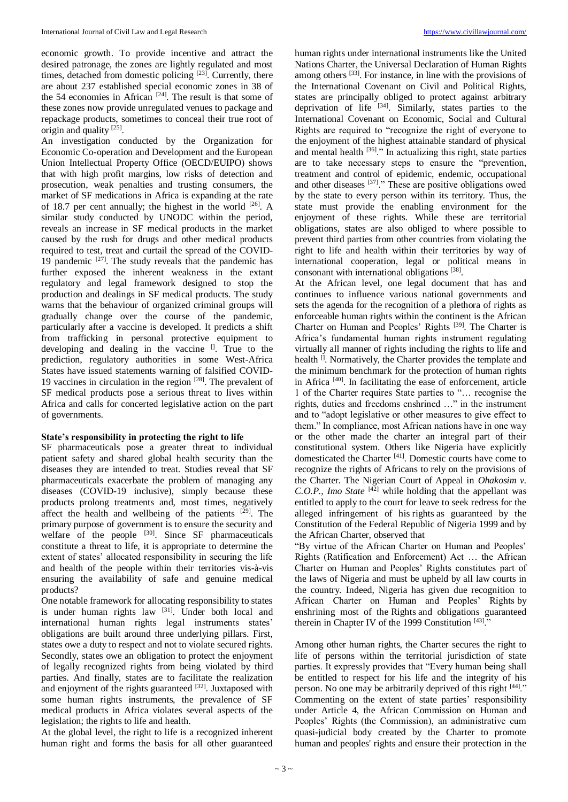economic growth. To provide incentive and attract the desired patronage, the zones are lightly regulated and most times, detached from domestic policing <sup>[23]</sup>. Currently, there are about 237 established special economic zones in 38 of the 54 economies in African  $[24]$ . The result is that some of these zones now provide unregulated venues to package and repackage products, sometimes to conceal their true root of origin and quality [25].

An investigation conducted by the Organization for Economic Co-operation and Development and the European Union Intellectual Property Office (OECD/EUIPO) shows that with high profit margins, low risks of detection and prosecution, weak penalties and trusting consumers, the market of SF medications in Africa is expanding at the rate of 18.7 per cent annually; the highest in the world <sup>[26]</sup>. A similar study conducted by UNODC within the period, reveals an increase in SF medical products in the market caused by the rush for drugs and other medical products required to test, treat and curtail the spread of the COVID-19 pandemic  $[27]$ . The study reveals that the pandemic has further exposed the inherent weakness in the extant regulatory and legal framework designed to stop the production and dealings in SF medical products. The study warns that the behaviour of organized criminal groups will gradually change over the course of the pandemic, particularly after a vaccine is developed. It predicts a shift from trafficking in personal protective equipment to developing and dealing in the vaccine  $[$ . True to the prediction, regulatory authorities in some West-Africa States have issued statements warning of falsified COVID-19 vaccines in circulation in the region  $[28]$ . The prevalent of SF medical products pose a serious threat to lives within Africa and calls for concerted legislative action on the part of governments.

#### **State's responsibility in protecting the right to life**

SF pharmaceuticals pose a greater threat to individual patient safety and shared global health security than the diseases they are intended to treat. Studies reveal that SF pharmaceuticals exacerbate the problem of managing any diseases (COVID-19 inclusive), simply because these products prolong treatments and, most times, negatively affect the health and wellbeing of the patients  $[29]$ . The primary purpose of government is to ensure the security and welfare of the people  $[30]$ . Since SF pharmaceuticals constitute a threat to life, it is appropriate to determine the extent of states' allocated responsibility in securing the life and health of the people within their territories vis-à-vis ensuring the availability of safe and genuine medical products?

One notable framework for allocating responsibility to states is under human rights law <sup>[31]</sup>. Under both local and international human rights legal instruments states' obligations are built around three underlying pillars. First, states owe a duty to respect and not to violate secured rights. Secondly, states owe an obligation to protect the enjoyment of legally recognized rights from being violated by third parties. And finally, states are to facilitate the realization and enjoyment of the rights guaranteed  $[32]$ . Juxtaposed with some human rights instruments, the prevalence of SF medical products in Africa violates several aspects of the legislation; the rights to life and health.

At the global level, the right to life is a recognized inherent human right and forms the basis for all other guaranteed

human rights under international instruments like the United Nations Charter, the Universal Declaration of Human Rights among others <sup>[33]</sup>. For instance, in line with the provisions of the International Covenant on Civil and Political Rights, states are principally obliged to protect against arbitrary deprivation of life <sup>[34]</sup>. Similarly, states parties to the International Covenant on Economic, Social and Cultural Rights are required to "recognize the right of everyone to the enjoyment of the highest attainable standard of physical and mental health <sup>[36]</sup>." In actualizing this right, state parties are to take necessary steps to ensure the "prevention, treatment and control of epidemic, endemic, occupational and other diseases <sup>[37]</sup>." These are positive obligations owed by the state to every person within its territory. Thus, the state must provide the enabling environment for the enjoyment of these rights. While these are territorial obligations, states are also obliged to where possible to prevent third parties from other countries from violating the right to life and health within their territories by way of international cooperation, legal or political means in consonant with international obligations [38].

At the African level, one legal document that has and continues to influence various national governments and sets the agenda for the recognition of a plethora of rights as enforceable human rights within the continent is the African Charter on Human and Peoples' Rights<sup>[39]</sup>. The Charter is Africa's fundamental human rights instrument regulating virtually all manner of rights including the rights to life and health <sup>[]</sup>. Normatively, the Charter provides the template and the minimum benchmark for the protection of human rights in Africa [40] . In facilitating the ease of enforcement, article 1 of the Charter requires State parties to "… recognise the rights, duties and freedoms enshrined …" in the instrument and to "adopt legislative or other measures to give effect to them." In compliance, most African nations have in one way or the other made the charter an integral part of their constitutional system. Others like Nigeria have explicitly domesticated the Charter [41] . Domestic courts have come to recognize the rights of Africans to rely on the provisions of the Charter. The Nigerian Court of Appeal in *Ohakosim v. C.O.P., Imo State* [42] while holding that the appellant was entitled to apply to the court for leave to seek redress for the alleged infringement of his rights as guaranteed by the Constitution of the Federal Republic of Nigeria 1999 and by the African Charter, observed that

"By virtue of the African Charter on Human and Peoples' Rights (Ratification and Enforcement) Act … the African Charter on Human and Peoples' Rights constitutes part of the laws of Nigeria and must be upheld by all law courts in the country. Indeed, Nigeria has given due recognition to African Charter on Human and Peoples' Rights by enshrining most of the Rights and obligations guaranteed therein in Chapter IV of the 1999 Constitution<sup>[43]</sup>."

Among other human rights, the Charter secures the right to life of persons within the territorial jurisdiction of state parties. It expressly provides that "Every human being shall be entitled to respect for his life and the integrity of his person. No one may be arbitrarily deprived of this right [44]." Commenting on the extent of state parties' responsibility under Article 4, the African Commission on Human and Peoples' Rights (the Commission), an administrative cum quasi-judicial body created by the Charter to promote human and peoples' rights and ensure their protection in the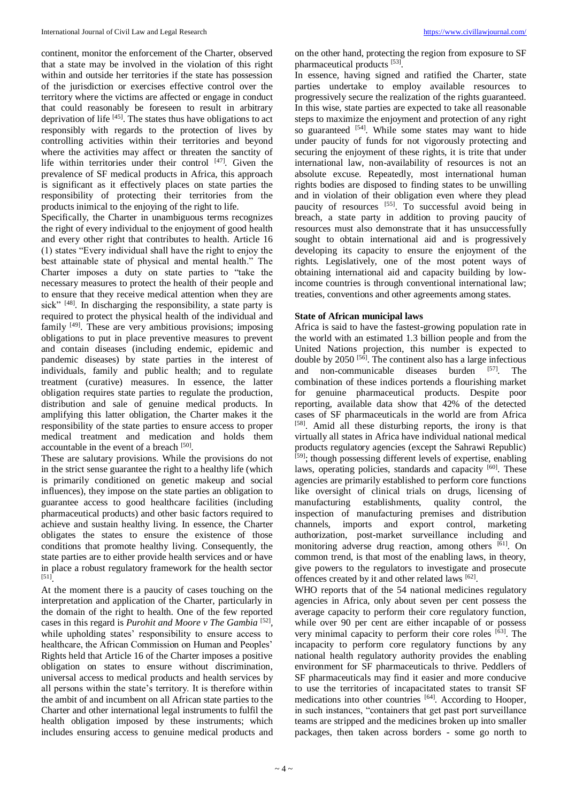continent, monitor the enforcement of the Charter, observed that a state may be involved in the violation of this right within and outside her territories if the state has possession of the jurisdiction or exercises effective control over the territory where the victims are affected or engage in conduct that could reasonably be foreseen to result in arbitrary deprivation of life <sup>[45]</sup>. The states thus have obligations to act responsibly with regards to the protection of lives by controlling activities within their territories and beyond where the activities may affect or threaten the sanctity of life within territories under their control  $[47]$ . Given the prevalence of SF medical products in Africa, this approach is significant as it effectively places on state parties the responsibility of protecting their territories from the products inimical to the enjoying of the right to life.

Specifically, the Charter in unambiguous terms recognizes the right of every individual to the enjoyment of good health and every other right that contributes to health. Article 16 (1) states "Every individual shall have the right to enjoy the best attainable state of physical and mental health." The Charter imposes a duty on state parties to "take the necessary measures to protect the health of their people and to ensure that they receive medical attention when they are sick"<sup>[48]</sup>. In discharging the responsibility, a state party is required to protect the physical health of the individual and family <sup>[49]</sup>. These are very ambitious provisions; imposing obligations to put in place preventive measures to prevent and contain diseases (including endemic, epidemic and pandemic diseases) by state parties in the interest of individuals, family and public health; and to regulate treatment (curative) measures. In essence, the latter obligation requires state parties to regulate the production, distribution and sale of genuine medical products. In amplifying this latter obligation, the Charter makes it the responsibility of the state parties to ensure access to proper medical treatment and medication and holds them accountable in the event of a breach [50].

These are salutary provisions. While the provisions do not in the strict sense guarantee the right to a healthy life (which is primarily conditioned on genetic makeup and social influences), they impose on the state parties an obligation to guarantee access to good healthcare facilities (including pharmaceutical products) and other basic factors required to achieve and sustain healthy living. In essence, the Charter obligates the states to ensure the existence of those conditions that promote healthy living. Consequently, the state parties are to either provide health services and or have in place a robust regulatory framework for the health sector [51] .

At the moment there is a paucity of cases touching on the interpretation and application of the Charter, particularly in the domain of the right to health. One of the few reported cases in this regard is *Purohit and Moore v The Gambia* [52], while upholding states' responsibility to ensure access to healthcare, the African Commission on Human and Peoples' Rights held that Article 16 of the Charter imposes a positive obligation on states to ensure without discrimination, universal access to medical products and health services by all persons within the state's territory. It is therefore within the ambit of and incumbent on all African state parties to the Charter and other international legal instruments to fulfil the health obligation imposed by these instruments; which includes ensuring access to genuine medical products and

on the other hand, protecting the region from exposure to SF pharmaceutical products [53].

In essence, having signed and ratified the Charter, state parties undertake to employ available resources to progressively secure the realization of the rights guaranteed. In this wise, state parties are expected to take all reasonable steps to maximize the enjoyment and protection of any right so guaranteed <sup>[54]</sup>. While some states may want to hide under paucity of funds for not vigorously protecting and securing the enjoyment of these rights, it is trite that under international law, non-availability of resources is not an absolute excuse. Repeatedly, most international human rights bodies are disposed to finding states to be unwilling and in violation of their obligation even where they plead paucity of resources [55]. To successful avoid being in breach, a state party in addition to proving paucity of resources must also demonstrate that it has unsuccessfully sought to obtain international aid and is progressively developing its capacity to ensure the enjoyment of the rights. Legislatively, one of the most potent ways of obtaining international aid and capacity building by lowincome countries is through conventional international law; treaties, conventions and other agreements among states.

#### **State of African municipal laws**

Africa is said to have the fastest-growing population rate in the world with an estimated 1.3 billion people and from the United Nations projection, this number is expected to double by 2050<sup>[56]</sup>. The continent also has a large infectious and non-communicable diseases burden [57]. . The combination of these indices portends a flourishing market for genuine pharmaceutical products. Despite poor reporting, available data show that 42% of the detected cases of SF pharmaceuticals in the world are from Africa [58]. Amid all these disturbing reports, the irony is that virtually all states in Africa have individual national medical products regulatory agencies (except the Sahrawi Republic) [59]; though possessing different levels of expertise, enabling laws, operating policies, standards and capacity <sup>[60]</sup>. These agencies are primarily established to perform core functions like oversight of clinical trials on drugs, licensing of manufacturing establishments, quality control, the inspection of manufacturing premises and distribution channels, imports and export control, marketing authorization, post-market surveillance including and monitoring adverse drug reaction, among others [61]. On common trend, is that most of the enabling laws, in theory, give powers to the regulators to investigate and prosecute offences created by it and other related laws [62].

WHO reports that of the 54 national medicines regulatory agencies in Africa, only about seven per cent possess the average capacity to perform their core regulatory function, while over 90 per cent are either incapable of or possess very minimal capacity to perform their core roles [63]. The incapacity to perform core regulatory functions by any national health regulatory authority provides the enabling environment for SF pharmaceuticals to thrive. Peddlers of SF pharmaceuticals may find it easier and more conducive to use the territories of incapacitated states to transit SF medications into other countries [64]. According to Hooper, in such instances, "containers that get past port surveillance teams are stripped and the medicines broken up into smaller packages, then taken across borders - some go north to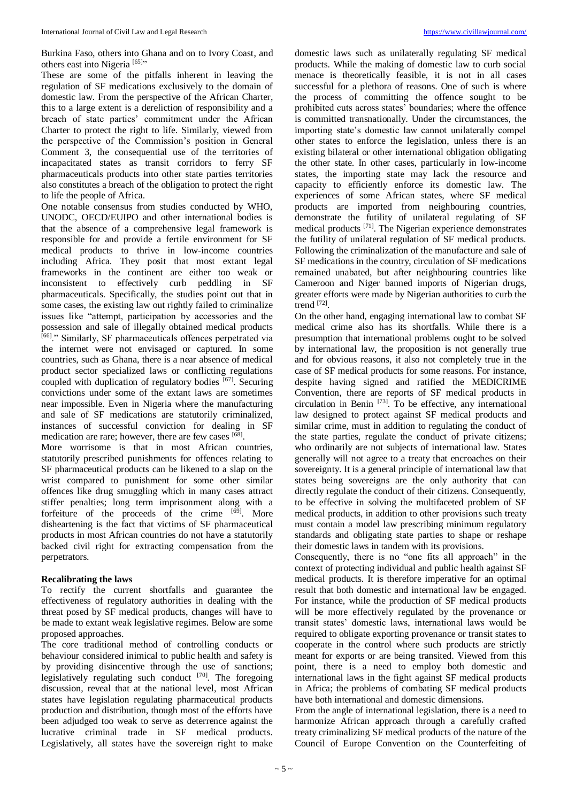Burkina Faso, others into Ghana and on to Ivory Coast, and others east into Nigeria<sup>[65]</sup>"

These are some of the pitfalls inherent in leaving the regulation of SF medications exclusively to the domain of domestic law. From the perspective of the African Charter, this to a large extent is a dereliction of responsibility and a breach of state parties' commitment under the African Charter to protect the right to life. Similarly, viewed from the perspective of the Commission's position in General Comment 3, the consequential use of the territories of incapacitated states as transit corridors to ferry SF pharmaceuticals products into other state parties territories also constitutes a breach of the obligation to protect the right to life the people of Africa.

One notable consensus from studies conducted by WHO, UNODC, OECD/EUIPO and other international bodies is that the absence of a comprehensive legal framework is responsible for and provide a fertile environment for SF medical products to thrive in low-income countries including Africa. They posit that most extant legal frameworks in the continent are either too weak or inconsistent to effectively curb peddling in SF pharmaceuticals. Specifically, the studies point out that in some cases, the existing law out rightly failed to criminalize issues like "attempt, participation by accessories and the possession and sale of illegally obtained medical products [66] ." Similarly, SF pharmaceuticals offences perpetrated via the internet were not envisaged or captured. In some countries, such as Ghana, there is a near absence of medical product sector specialized laws or conflicting regulations coupled with duplication of regulatory bodies [67]. Securing convictions under some of the extant laws are sometimes near impossible. Even in Nigeria where the manufacturing and sale of SF medications are statutorily criminalized, instances of successful conviction for dealing in SF medication are rare; however, there are few cases [68].

More worrisome is that in most African countries, statutorily prescribed punishments for offences relating to SF pharmaceutical products can be likened to a slap on the wrist compared to punishment for some other similar offences like drug smuggling which in many cases attract stiffer penalties; long term imprisonment along with a forfeiture of the proceeds of the crime [69]. More disheartening is the fact that victims of SF pharmaceutical products in most African countries do not have a statutorily backed civil right for extracting compensation from the perpetrators.

#### **Recalibrating the laws**

To rectify the current shortfalls and guarantee the effectiveness of regulatory authorities in dealing with the threat posed by SF medical products, changes will have to be made to extant weak legislative regimes. Below are some proposed approaches.

The core traditional method of controlling conducts or behaviour considered inimical to public health and safety is by providing disincentive through the use of sanctions; legislatively regulating such conduct [70]. The foregoing discussion, reveal that at the national level, most African states have legislation regulating pharmaceutical products production and distribution, though most of the efforts have been adjudged too weak to serve as deterrence against the lucrative criminal trade in SF medical products. Legislatively, all states have the sovereign right to make

domestic laws such as unilaterally regulating SF medical products. While the making of domestic law to curb social menace is theoretically feasible, it is not in all cases successful for a plethora of reasons. One of such is where the process of committing the offence sought to be prohibited cuts across states' boundaries; where the offence is committed transnationally. Under the circumstances, the importing state's domestic law cannot unilaterally compel other states to enforce the legislation, unless there is an existing bilateral or other international obligation obligating the other state. In other cases, particularly in low-income states, the importing state may lack the resource and capacity to efficiently enforce its domestic law. The experiences of some African states, where SF medical products are imported from neighbouring countries, demonstrate the futility of unilateral regulating of SF medical products [71] . The Nigerian experience demonstrates the futility of unilateral regulation of SF medical products. Following the criminalization of the manufacture and sale of SF medications in the country, circulation of SF medications remained unabated, but after neighbouring countries like Cameroon and Niger banned imports of Nigerian drugs, greater efforts were made by Nigerian authorities to curb the trend [72] .

On the other hand, engaging international law to combat SF medical crime also has its shortfalls. While there is a presumption that international problems ought to be solved by international law, the proposition is not generally true and for obvious reasons, it also not completely true in the case of SF medical products for some reasons. For instance, despite having signed and ratified the MEDICRIME Convention, there are reports of SF medical products in circulation in Benin [73] . To be effective, any international law designed to protect against SF medical products and similar crime, must in addition to regulating the conduct of the state parties, regulate the conduct of private citizens; who ordinarily are not subjects of international law. States generally will not agree to a treaty that encroaches on their sovereignty. It is a general principle of international law that states being sovereigns are the only authority that can directly regulate the conduct of their citizens. Consequently, to be effective in solving the multifaceted problem of SF medical products, in addition to other provisions such treaty must contain a model law prescribing minimum regulatory standards and obligating state parties to shape or reshape their domestic laws in tandem with its provisions.

Consequently, there is no "one fits all approach" in the context of protecting individual and public health against SF medical products. It is therefore imperative for an optimal result that both domestic and international law be engaged. For instance, while the production of SF medical products will be more effectively regulated by the provenance or transit states' domestic laws, international laws would be required to obligate exporting provenance or transit states to cooperate in the control where such products are strictly meant for exports or are being transited. Viewed from this point, there is a need to employ both domestic and international laws in the fight against SF medical products in Africa; the problems of combating SF medical products have both international and domestic dimensions.

From the angle of international legislation, there is a need to harmonize African approach through a carefully crafted treaty criminalizing SF medical products of the nature of the Council of Europe Convention on the Counterfeiting of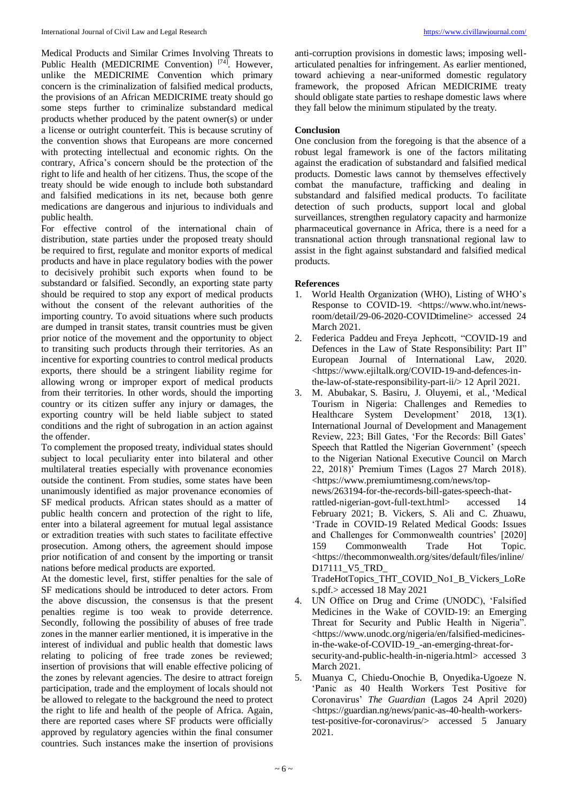Medical Products and Similar Crimes Involving Threats to Public Health (MEDICRIME Convention)<sup>[74]</sup>. However, unlike the MEDICRIME Convention which primary concern is the criminalization of falsified medical products, the provisions of an African MEDICRIME treaty should go some steps further to criminalize substandard medical products whether produced by the patent owner(s) or under a license or outright counterfeit. This is because scrutiny of the convention shows that Europeans are more concerned with protecting intellectual and economic rights. On the contrary, Africa's concern should be the protection of the right to life and health of her citizens. Thus, the scope of the treaty should be wide enough to include both substandard and falsified medications in its net, because both genre medications are dangerous and injurious to individuals and public health.

For effective control of the international chain of distribution, state parties under the proposed treaty should be required to first, regulate and monitor exports of medical products and have in place regulatory bodies with the power to decisively prohibit such exports when found to be substandard or falsified. Secondly, an exporting state party should be required to stop any export of medical products without the consent of the relevant authorities of the importing country. To avoid situations where such products are dumped in transit states, transit countries must be given prior notice of the movement and the opportunity to object to transiting such products through their territories. As an incentive for exporting countries to control medical products exports, there should be a stringent liability regime for allowing wrong or improper export of medical products from their territories. In other words, should the importing country or its citizen suffer any injury or damages, the exporting country will be held liable subject to stated conditions and the right of subrogation in an action against the offender.

To complement the proposed treaty, individual states should subject to local peculiarity enter into bilateral and other multilateral treaties especially with provenance economies outside the continent. From studies, some states have been unanimously identified as major provenance economies of SF medical products. African states should as a matter of public health concern and protection of the right to life, enter into a bilateral agreement for mutual legal assistance or extradition treaties with such states to facilitate effective prosecution. Among others, the agreement should impose prior notification of and consent by the importing or transit nations before medical products are exported.

At the domestic level, first, stiffer penalties for the sale of SF medications should be introduced to deter actors. From the above discussion, the consensus is that the present penalties regime is too weak to provide deterrence. Secondly, following the possibility of abuses of free trade zones in the manner earlier mentioned, it is imperative in the interest of individual and public health that domestic laws relating to policing of free trade zones be reviewed; insertion of provisions that will enable effective policing of the zones by relevant agencies. The desire to attract foreign participation, trade and the employment of locals should not be allowed to relegate to the background the need to protect the right to life and health of the people of Africa. Again, there are reported cases where SF products were officially approved by regulatory agencies within the final consumer countries. Such instances make the insertion of provisions

anti-corruption provisions in domestic laws; imposing wellarticulated penalties for infringement. As earlier mentioned, toward achieving a near-uniformed domestic regulatory framework, the proposed African MEDICRIME treaty should obligate state parties to reshape domestic laws where they fall below the minimum stipulated by the treaty.

#### **Conclusion**

One conclusion from the foregoing is that the absence of a robust legal framework is one of the factors militating against the eradication of substandard and falsified medical products. Domestic laws cannot by themselves effectively combat the manufacture, trafficking and dealing in substandard and falsified medical products. To facilitate detection of such products, support local and global surveillances, strengthen regulatory capacity and harmonize pharmaceutical governance in Africa, there is a need for a transnational action through transnational regional law to assist in the fight against substandard and falsified medical products.

#### **References**

- 1. World Health Organization (WHO), Listing of WHO's Response to COVID-19. <https://www.who.int/newsroom/detail/29-06-2020-COVIDtimeline> accessed 24 March 2021.
- 2. Federica Paddeu and Freya Jephcott, "COVID-19 and Defences in the Law of State Responsibility: Part II" European Journal of International Law, 2020. <https://www.ejiltalk.org/COVID-19-and-defences-inthe-law-of-state-responsibility-part-ii/> 12 April 2021.
- 3. M. Abubakar, S. Basiru, J. Oluyemi, et al., 'Medical Tourism in Nigeria: Challenges and Remedies to Healthcare System Development' 2018, 13(1). International Journal of Development and Management Review, 223; Bill Gates, 'For the Records: Bill Gates' Speech that Rattled the Nigerian Government' (speech to the Nigerian National Executive Council on March 22, 2018)' Premium Times (Lagos 27 March 2018). <https://www.premiumtimesng.com/news/topnews/263194-for-the-records-bill-gates-speech-thatrattled-nigerian-govt-full-text.html> accessed 14 February 2021; B. Vickers, S. Ali and C. Zhuawu, 'Trade in COVID-19 Related Medical Goods: Issues and Challenges for Commonwealth countries' [2020] 159 Commonwealth Trade Hot Topic. <https://thecommonwealth.org/sites/default/files/inline/ D17111\_V5\_TRD\_

TradeHotTopics\_THT\_COVID\_No1\_B\_Vickers\_LoRe s.pdf.> accessed 18 May 2021

- 4. UN Office on Drug and Crime (UNODC), 'Falsified Medicines in the Wake of COVID-19: an Emerging Threat for Security and Public Health in Nigeria". <https://www.unodc.org/nigeria/en/falsified-medicinesin-the-wake-of-COVID-19\_-an-emerging-threat-forsecurity-and-public-health-in-nigeria.html> accessed 3 March 2021.
- 5. Muanya C, Chiedu-Onochie B, Onyedika-Ugoeze N. 'Panic as 40 Health Workers Test Positive for Coronavirus' *The Guardian* (Lagos 24 April 2020) <https://guardian.ng/news/panic-as-40-health-workerstest-positive-for-coronavirus/> accessed 5 January 2021.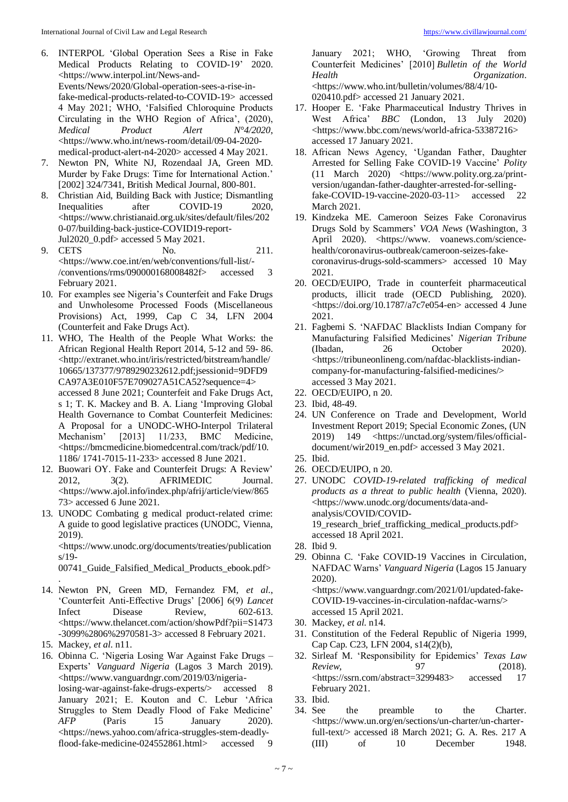- 6. INTERPOL 'Global Operation Sees a Rise in Fake Medical Products Relating to COVID-19' 2020. <https://www.interpol.int/News-and-Events/News/2020/Global-operation-sees-a-rise-infake-medical-products-related-to-COVID-19> accessed 4 May 2021; WHO, 'Falsified Chloroquine Products Circulating in the WHO Region of Africa', (2020),<br> *Medical* Product Alert  $N^94/2020$ . *Medical Product Alert N°4/2020*, <https://www.who.int/news-room/detail/09-04-2020 medical-product-alert-n4-2020> accessed 4 May 2021.
- 7. Newton PN, White NJ, Rozendaal JA, Green MD. Murder by Fake Drugs: Time for International Action.' [2002] 324/7341, British Medical Journal, 800-801.
- 8. Christian Aid, Building Back with Justice; Dismantling Inequalities after COVID-19 2020, <https://www.christianaid.org.uk/sites/default/files/202 0-07/building-back-justice-COVID19-report-Jul2020\_0.pdf> accessed 5 May 2021.
- 9. CETS No. 211. <https://www.coe.int/en/web/conventions/full-list/- /conventions/rms/090000168008482f> accessed 3 February 2021.
- 10. For examples see Nigeria's Counterfeit and Fake Drugs and Unwholesome Processed Foods (Miscellaneous Provisions) Act, 1999, Cap C 34, LFN 2004 (Counterfeit and Fake Drugs Act).
- 11. WHO, The Health of the People What Works: the African Regional Health Report 2014, 5-12 and 59- 86. <http://extranet.who.int/iris/restricted/bitstream/handle/ 10665/137377/9789290232612.pdf;jsessionid=9DFD9 CA97A3E010F57E709027A51CA52?sequence=4> accessed 8 June 2021; Counterfeit and Fake Drugs Act, s 1; T. K. Mackey and B. A. Liang 'Improving Global Health Governance to Combat Counterfeit Medicines: A Proposal for a UNODC-WHO-Interpol Trilateral Mechanism' [2013] 11/233, BMC Medicine, <https://bmcmedicine.biomedcentral.com/track/pdf/10. 1186/ 1741-7015-11-233> accessed 8 June 2021.
- 12. Buowari OY. Fake and Counterfeit Drugs: A Review' 2012, 3(2). AFRIMEDIC Journal. <https://www.ajol.info/index.php/afrij/article/view/865 73> accessed 6 June 2021.
- 13. UNODC Combating g medical product-related crime: A guide to good legislative practices (UNODC, Vienna, 2019).

<https://www.unodc.org/documents/treaties/publication s/19-

00741\_Guide\_Falsified\_Medical\_Products\_ebook.pdf>

- . 14. Newton PN, Green MD, Fernandez FM, *et al*., 'Counterfeit Anti-Effective Drugs' [2006] 6(9) *Lancet*  Infect Disease Review, 602-613. <https://www.thelancet.com/action/showPdf?pii=S1473 -3099%2806%2970581-3> accessed 8 February 2021.
- 15. Mackey, *et al*. n11.
- 16. Obinna C. 'Nigeria Losing War Against Fake Drugs Experts' *Vanguard Nigeria* (Lagos 3 March 2019). <https://www.vanguardngr.com/2019/03/nigerialosing-war-against-fake-drugs-experts/> accessed 8 January 2021; E. Kouton and C. Lebur 'Africa Struggles to Stem Deadly Flood of Fake Medicine' *AFP* (Paris 15 January 2020). <https://news.yahoo.com/africa-struggles-stem-deadlyflood-fake-medicine-024552861.html> accessed

January 2021; WHO, 'Growing Threat from Counterfeit Medicines' [2010] *Bulletin of the World Health Organization*. <https://www.who.int/bulletin/volumes/88/4/10- 020410.pdf> accessed 21 January 2021.

- 17. Hooper E. 'Fake Pharmaceutical Industry Thrives in West Africa' *BBC* (London, 13 July 2020) <https://www.bbc.com/news/world-africa-53387216> accessed 17 January 2021.
- 18. African News Agency, 'Ugandan Father, Daughter Arrested for Selling Fake COVID-19 Vaccine' *Polity* (11 March 2020) <https://www.polity.org.za/printversion/ugandan-father-daughter-arrested-for-sellingfake-COVID-19-vaccine-2020-03-11> accessed 22 March 2021.
- 19. Kindzeka ME. Cameroon Seizes Fake Coronavirus Drugs Sold by Scammers' *VOA News* (Washington, 3 April 2020). < https://www. voanews.com/sciencehealth/coronavirus-outbreak/cameroon-seizes-fakecoronavirus-drugs-sold-scammers> accessed 10 May 2021.
- 20. OECD/EUIPO, Trade in counterfeit pharmaceutical products, illicit trade (OECD Publishing, 2020). <https://doi.org/10.1787/a7c7e054-en> accessed 4 June 2021.
- 21. Fagbemi S. 'NAFDAC Blacklists Indian Company for Manufacturing Falsified Medicines' *Nigerian Tribune* (Ibadan, 26 October 2020). <https://tribuneonlineng.com/nafdac-blacklists-indiancompany-for-manufacturing-falsified-medicines/> accessed 3 May 2021.
- 22. OECD/EUIPO, n 20.
- 23. Ibid, 48-49.
- 24. UN Conference on Trade and Development, World Investment Report 2019; Special Economic Zones, (UN 2019) 149 <https://unctad.org/system/files/officialdocument/wir2019\_en.pdf> accessed 3 May 2021.
- 25. Ibid.
- 26. OECD/EUIPO, n 20.
- 27. UNODC *COVID-19-related trafficking of medical products as a threat to public health* (Vienna, 2020). <https://www.unodc.org/documents/data-andanalysis/COVID/COVID-19\_research\_brief\_trafficking\_medical\_products.pdf> accessed 18 April 2021.

28. Ibid 9.

29. Obinna C. 'Fake COVID-19 Vaccines in Circulation, NAFDAC Warns' *Vanguard Nigeria* (Lagos 15 January 2020).

<https://www.vanguardngr.com/2021/01/updated-fake-COVID-19-vaccines-in-circulation-nafdac-warns/> accessed 15 April 2021.

- 30. Mackey, *et al*. n14.
- 31. Constitution of the Federal Republic of Nigeria 1999, Cap Cap. C23, LFN 2004, s14(2)(b),
- 32. Sirleaf M. 'Responsibility for Epidemics' *Texas Law Review*, 97 (2018). <https://ssrn.com/abstract=3299483> accessed 17 February 2021.
- 33. Ibid.
- 34. See the preamble to the Charter. <https://www.un.org/en/sections/un-charter/un-charterfull-text/> accessed i8 March 2021; G. A. Res. 217 A (III) of 10 December 1948.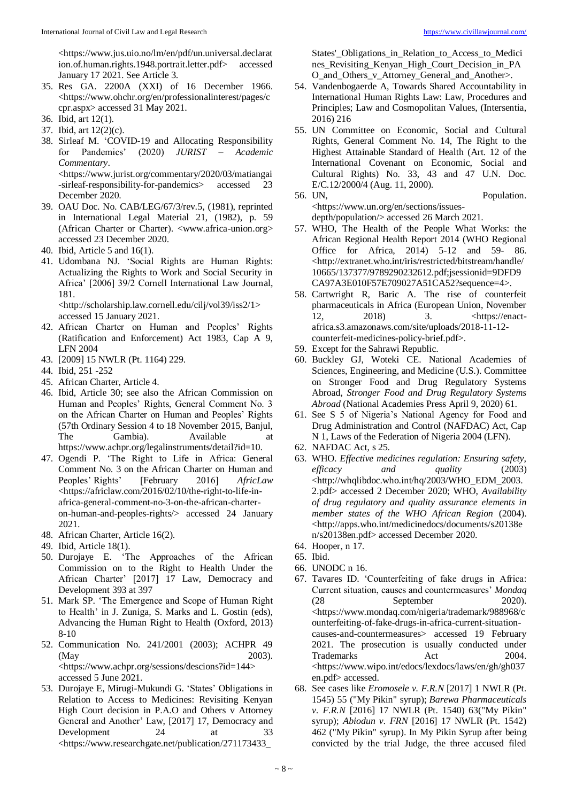<https://www.jus.uio.no/lm/en/pdf/un.universal.declarat ion.of.human.rights.1948.portrait.letter.pdf> accessed January 17 2021. See Article 3.

- 35. Res GA. 2200A (XXI) of 16 December 1966. <https://www.ohchr.org/en/professionalinterest/pages/c cpr.aspx> accessed 31 May 2021.
- 36. Ibid, art 12(1).
- 37. Ibid, art 12(2)(c).
- 38. Sirleaf M. 'COVID-19 and Allocating Responsibility for Pandemics' (2020) *JURIST – Academic Commentary*. <https://www.jurist.org/commentary/2020/03/matiangai -sirleaf-responsibility-for-pandemics> accessed 23 December 2020.
- 39. OAU Doc. No. CAB/LEG/67/3/rev.5, (1981), reprinted in International Legal Material 21, (1982), p. 59 (African Charter or Charter). <www.africa-union.org> accessed 23 December 2020.
- 40. Ibid, Article 5 and 16(1).
- 41. Udombana NJ. 'Social Rights are Human Rights: Actualizing the Rights to Work and Social Security in Africa' [2006] 39/2 Cornell International Law Journal, 181.

<http://scholarship.law.cornell.edu/cilj/vol39/iss2/1> accessed 15 January 2021.

- 42. African Charter on Human and Peoples' Rights (Ratification and Enforcement) Act 1983, Cap A 9, LFN 2004
- 43. [2009] 15 NWLR (Pt. 1164) 229.
- 44. Ibid, 251 -252
- 45. African Charter, Article 4.
- 46. Ibid, Article 30; see also the African Commission on Human and Peoples' Rights, General Comment No. 3 on the African Charter on Human and Peoples' Rights (57th Ordinary Session 4 to 18 November 2015, Banjul, The Gambia). Available at https://www.achpr.org/legalinstruments/detail?id=10.
- 47. Ogendi P. 'The Right to Life in Africa: General Comment No. 3 on the African Charter on Human and Peoples' Rights' [February 2016] *AfricLaw* <https://africlaw.com/2016/02/10/the-right-to-life-inafrica-general-comment-no-3-on-the-african-charteron-human-and-peoples-rights/> accessed 24 January 2021.
- 48. African Charter, Article 16(2).
- 49. Ibid, Article 18(1).
- 50. Durojaye E. 'The Approaches of the African Commission on to the Right to Health Under the African Charter' [2017] 17 Law, Democracy and Development 393 at 397
- 51. Mark SP. 'The Emergence and Scope of Human Right to Health' in J. Zuniga, S. Marks and L. Gostin (eds), Advancing the Human Right to Health (Oxford, 2013) 8-10
- 52. Communication No. 241/2001 (2003); ACHPR 49 (May 2003). <https://www.achpr.org/sessions/descions?id=144> accessed 5 June 2021.
- 53. Durojaye E, Mirugi-Mukundi G. 'States' Obligations in Relation to Access to Medicines: Revisiting Kenyan High Court decision in P.A.O and Others v Attorney General and Another' Law, [2017] 17, Democracy and Development 24 at 33 <https://www.researchgate.net/publication/271173433\_

States' Obligations in Relation to Access to Medici nes\_Revisiting\_Kenyan\_High\_Court\_Decision\_in\_PA O\_and\_Others\_v\_Attorney\_General\_and\_Another>.

- 54. Vandenbogaerde A, Towards Shared Accountability in International Human Rights Law: Law, Procedures and Principles; Law and Cosmopolitan Values, (Intersentia, 2016) 216
- 55. UN Committee on Economic, Social and Cultural Rights, General Comment No. 14, The Right to the Highest Attainable Standard of Health (Art. 12 of the International Covenant on Economic, Social and Cultural Rights) No. 33, 43 and 47 U.N. Doc. E/C.12/2000/4 (Aug. 11, 2000).
- 56. UN, Population. <https://www.un.org/en/sections/issues-

depth/population/> accessed 26 March 2021.

- 57. WHO, The Health of the People What Works: the African Regional Health Report 2014 (WHO Regional Office for Africa, 2014) 5-12 and 59- 86. <http://extranet.who.int/iris/restricted/bitstream/handle/ 10665/137377/9789290232612.pdf;jsessionid=9DFD9 CA97A3E010F57E709027A51CA52?sequence=4>.
- 58. Cartwright R, Baric A. The rise of counterfeit pharmaceuticals in Africa (European Union, November 12, 2018) 3. <https://enactafrica.s3.amazonaws.com/site/uploads/2018-11-12 counterfeit-medicines-policy-brief.pdf>.
- 59. Except for the Sahrawi Republic.
- 60. Buckley GJ, Woteki CE. National Academies of Sciences, Engineering, and Medicine (U.S.). Committee on Stronger Food and Drug Regulatory Systems Abroad, *Stronger Food and Drug Regulatory Systems Abroad* (National Academies Press April 9, 2020) 61.
- 61. See S 5 of Nigeria's National Agency for Food and Drug Administration and Control (NAFDAC) Act, Cap N 1, Laws of the Federation of Nigeria 2004 (LFN).
- 62. NAFDAC Act, s 25.
- 63. WHO. *Effective medicines regulation: Ensuring safety, efficacy and quality* (2003) <http://whqlibdoc.who.int/hq/2003/WHO\_EDM\_2003. 2.pdf> accessed 2 December 2020; WHO, *Availability of drug regulatory and quality assurance elements in member states of the WHO African Region* (2004). <http://apps.who.int/medicinedocs/documents/s20138e n/s20138en.pdf> accessed December 2020.
- 64. Hooper, n 17.
- 65. Ibid.
- 66. UNODC n 16.
- 67. Tavares ID. 'Counterfeiting of fake drugs in Africa: Current situation, causes and countermeasures' *Mondaq* (28 September 2020). <https://www.mondaq.com/nigeria/trademark/988968/c ounterfeiting-of-fake-drugs-in-africa-current-situationcauses-and-countermeasures> accessed 19 February 2021. The prosecution is usually conducted under Trademarks Act 2004. <https://www.wipo.int/edocs/lexdocs/laws/en/gh/gh037 en.pdf> accessed.
- 68. See cases like *Eromosele v. F.R.N* [2017] 1 NWLR (Pt. 1545) 55 ("My Pikin" syrup); *Barewa Pharmaceuticals v. F.R.N* [2016] 17 NWLR (Pt. 1540) 63("My Pikin" syrup); *Abiodun v. FRN* [2016] 17 NWLR (Pt. 1542) 462 ("My Pikin" syrup). In My Pikin Syrup after being convicted by the trial Judge, the three accused filed